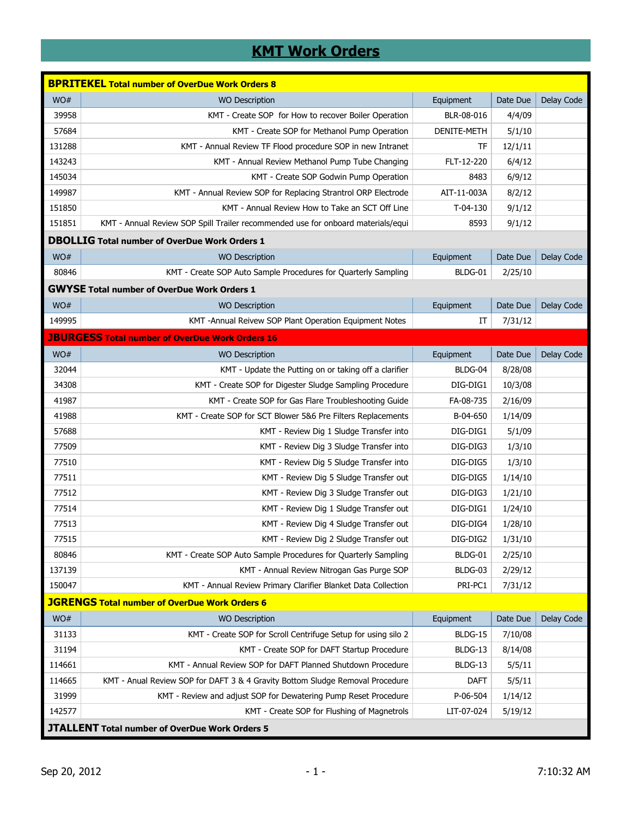## **KMT Work Orders**

|                                                       | <b>BPRITEKEL Total number of OverDue Work Orders 8</b>                           |             |          |            |  |  |
|-------------------------------------------------------|----------------------------------------------------------------------------------|-------------|----------|------------|--|--|
| WO#                                                   | <b>WO Description</b>                                                            | Equipment   | Date Due | Delay Code |  |  |
| 39958                                                 | KMT - Create SOP for How to recover Boiler Operation                             | BLR-08-016  | 4/4/09   |            |  |  |
| 57684                                                 | KMT - Create SOP for Methanol Pump Operation                                     | DENITE-METH | 5/1/10   |            |  |  |
| 131288                                                | KMT - Annual Review TF Flood procedure SOP in new Intranet                       | TF          | 12/1/11  |            |  |  |
| 143243                                                | KMT - Annual Review Methanol Pump Tube Changing                                  | FLT-12-220  | 6/4/12   |            |  |  |
| 145034                                                | KMT - Create SOP Godwin Pump Operation                                           | 8483        | 6/9/12   |            |  |  |
| 149987                                                | KMT - Annual Review SOP for Replacing Strantrol ORP Electrode                    | AIT-11-003A | 8/2/12   |            |  |  |
| 151850                                                | KMT - Annual Review How to Take an SCT Off Line                                  | $T-04-130$  | 9/1/12   |            |  |  |
| 151851                                                | KMT - Annual Review SOP Spill Trailer recommended use for onboard materials/equi | 8593        | 9/1/12   |            |  |  |
|                                                       | <b>DBOLLIG</b> Total number of OverDue Work Orders 1                             |             |          |            |  |  |
| WO#                                                   | <b>WO Description</b>                                                            | Equipment   | Date Due | Delay Code |  |  |
| 80846                                                 | KMT - Create SOP Auto Sample Procedures for Quarterly Sampling                   | BLDG-01     | 2/25/10  |            |  |  |
|                                                       | <b>GWYSE Total number of OverDue Work Orders 1</b>                               |             |          |            |  |  |
| WO#                                                   | <b>WO Description</b>                                                            | Equipment   | Date Due | Delay Code |  |  |
| 149995                                                | KMT - Annual Reivew SOP Plant Operation Equipment Notes                          | IT          | 7/31/12  |            |  |  |
|                                                       | <b>JBURGESS Total number of OverDue Work Orders 16</b>                           |             |          |            |  |  |
| WO#                                                   | <b>WO Description</b>                                                            | Equipment   | Date Due | Delay Code |  |  |
| 32044                                                 | KMT - Update the Putting on or taking off a clarifier                            | BLDG-04     | 8/28/08  |            |  |  |
| 34308                                                 | KMT - Create SOP for Digester Sludge Sampling Procedure                          | DIG-DIG1    | 10/3/08  |            |  |  |
| 41987                                                 | KMT - Create SOP for Gas Flare Troubleshooting Guide                             | FA-08-735   | 2/16/09  |            |  |  |
| 41988                                                 | KMT - Create SOP for SCT Blower 5&6 Pre Filters Replacements                     | B-04-650    | 1/14/09  |            |  |  |
| 57688                                                 | KMT - Review Dig 1 Sludge Transfer into                                          | DIG-DIG1    | 5/1/09   |            |  |  |
| 77509                                                 | KMT - Review Dig 3 Sludge Transfer into                                          | DIG-DIG3    | 1/3/10   |            |  |  |
| 77510                                                 | KMT - Review Dig 5 Sludge Transfer into                                          | DIG-DIG5    | 1/3/10   |            |  |  |
| 77511                                                 | KMT - Review Dig 5 Sludge Transfer out                                           | DIG-DIG5    | 1/14/10  |            |  |  |
| 77512                                                 | KMT - Review Dig 3 Sludge Transfer out                                           | DIG-DIG3    | 1/21/10  |            |  |  |
| 77514                                                 | KMT - Review Dig 1 Sludge Transfer out                                           | DIG-DIG1    | 1/24/10  |            |  |  |
| 77513                                                 | KMT - Review Dig 4 Sludge Transfer out                                           | DIG-DIG4    | 1/28/10  |            |  |  |
| 77515                                                 | KMT - Review Dig 2 Sludge Transfer out                                           | DIG-DIG2    | 1/31/10  |            |  |  |
| 80846                                                 | KMT - Create SOP Auto Sample Procedures for Quarterly Sampling                   | BLDG-01     | 2/25/10  |            |  |  |
| 137139                                                | KMT - Annual Review Nitrogan Gas Purge SOP                                       | BLDG-03     | 2/29/12  |            |  |  |
| 150047                                                | KMT - Annual Review Primary Clarifier Blanket Data Collection                    | PRI-PC1     | 7/31/12  |            |  |  |
|                                                       | <b>JGRENGS Total number of OverDue Work Orders 6</b>                             |             |          |            |  |  |
| WO#                                                   | <b>WO Description</b>                                                            | Equipment   | Date Due | Delay Code |  |  |
| 31133                                                 | KMT - Create SOP for Scroll Centrifuge Setup for using silo 2                    | BLDG-15     | 7/10/08  |            |  |  |
| 31194                                                 | KMT - Create SOP for DAFT Startup Procedure                                      | BLDG-13     | 8/14/08  |            |  |  |
| 114661                                                | KMT - Annual Review SOP for DAFT Planned Shutdown Procedure                      | BLDG-13     | 5/5/11   |            |  |  |
| 114665                                                | KMT - Anual Review SOP for DAFT 3 & 4 Gravity Bottom Sludge Removal Procedure    | <b>DAFT</b> | 5/5/11   |            |  |  |
| 31999                                                 | KMT - Review and adjust SOP for Dewatering Pump Reset Procedure                  | P-06-504    | 1/14/12  |            |  |  |
| 142577                                                | KMT - Create SOP for Flushing of Magnetrols                                      | LIT-07-024  | 5/19/12  |            |  |  |
| <b>JTALLENT Total number of OverDue Work Orders 5</b> |                                                                                  |             |          |            |  |  |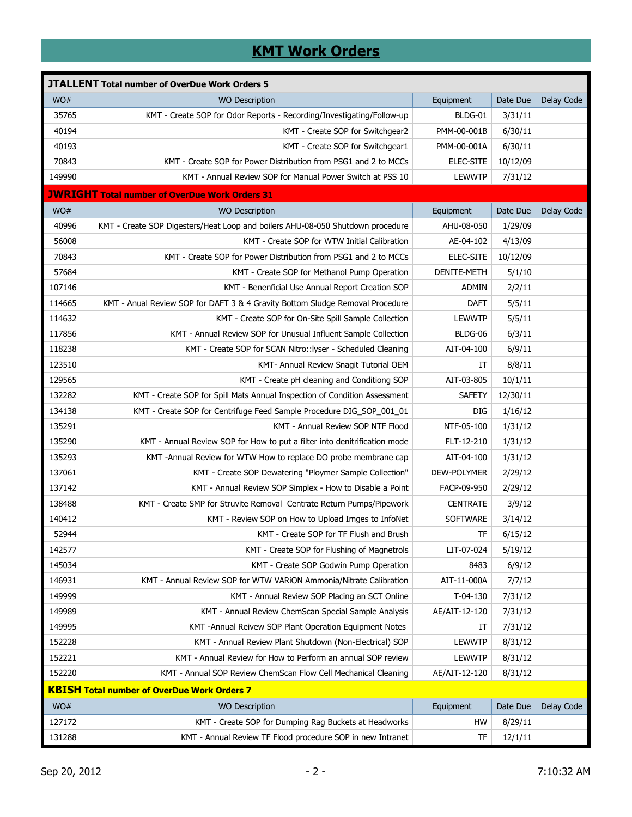## **KMT Work Orders**

| <b>JTALLENT Total number of OverDue Work Orders 5</b> |                                                                                |                 |          |            |  |  |  |
|-------------------------------------------------------|--------------------------------------------------------------------------------|-----------------|----------|------------|--|--|--|
| WO#                                                   | <b>WO Description</b>                                                          | Equipment       | Date Due | Delay Code |  |  |  |
| 35765                                                 | KMT - Create SOP for Odor Reports - Recording/Investigating/Follow-up          | BLDG-01         | 3/31/11  |            |  |  |  |
| 40194                                                 | KMT - Create SOP for Switchgear2                                               | PMM-00-001B     | 6/30/11  |            |  |  |  |
| 40193                                                 | KMT - Create SOP for Switchgear1                                               | PMM-00-001A     | 6/30/11  |            |  |  |  |
| 70843                                                 | KMT - Create SOP for Power Distribution from PSG1 and 2 to MCCs                | ELEC-SITE       | 10/12/09 |            |  |  |  |
| 149990                                                | KMT - Annual Review SOP for Manual Power Switch at PSS 10                      | <b>LEWWTP</b>   | 7/31/12  |            |  |  |  |
|                                                       | <b>JWRIGHT Total number of OverDue Work Orders 31</b>                          |                 |          |            |  |  |  |
| WO#                                                   | <b>WO Description</b>                                                          | Equipment       | Date Due | Delay Code |  |  |  |
| 40996                                                 | KMT - Create SOP Digesters/Heat Loop and boilers AHU-08-050 Shutdown procedure | AHU-08-050      | 1/29/09  |            |  |  |  |
| 56008                                                 | KMT - Create SOP for WTW Initial Calibration                                   | AE-04-102       | 4/13/09  |            |  |  |  |
| 70843                                                 | KMT - Create SOP for Power Distribution from PSG1 and 2 to MCCs                | ELEC-SITE       | 10/12/09 |            |  |  |  |
| 57684                                                 | KMT - Create SOP for Methanol Pump Operation                                   | DENITE-METH     | 5/1/10   |            |  |  |  |
| 107146                                                | KMT - Benenficial Use Annual Report Creation SOP                               | <b>ADMIN</b>    | 2/2/11   |            |  |  |  |
| 114665                                                | KMT - Anual Review SOP for DAFT 3 & 4 Gravity Bottom Sludge Removal Procedure  | <b>DAFT</b>     | 5/5/11   |            |  |  |  |
| 114632                                                | KMT - Create SOP for On-Site Spill Sample Collection                           | <b>LEWWTP</b>   | 5/5/11   |            |  |  |  |
| 117856                                                | KMT - Annual Review SOP for Unusual Influent Sample Collection                 | BLDG-06         | 6/3/11   |            |  |  |  |
| 118238                                                | KMT - Create SOP for SCAN Nitro::lyser - Scheduled Cleaning                    | AIT-04-100      | 6/9/11   |            |  |  |  |
| 123510                                                | KMT- Annual Review Snagit Tutorial OEM                                         | ΙΤ              | 8/8/11   |            |  |  |  |
| 129565                                                | KMT - Create pH cleaning and Conditiong SOP                                    | AIT-03-805      | 10/1/11  |            |  |  |  |
| 132282                                                | KMT - Create SOP for Spill Mats Annual Inspection of Condition Assessment      | <b>SAFETY</b>   | 12/30/11 |            |  |  |  |
| 134138                                                | KMT - Create SOP for Centrifuge Feed Sample Procedure DIG_SOP_001_01           | DIG             | 1/16/12  |            |  |  |  |
| 135291                                                | KMT - Annual Review SOP NTF Flood                                              | NTF-05-100      | 1/31/12  |            |  |  |  |
| 135290                                                | KMT - Annual Review SOP for How to put a filter into denitrification mode      | FLT-12-210      | 1/31/12  |            |  |  |  |
| 135293                                                | KMT-Annual Review for WTW How to replace DO probe membrane cap                 | AIT-04-100      | 1/31/12  |            |  |  |  |
| 137061                                                | KMT - Create SOP Dewatering "Ploymer Sample Collection"                        | DEW-POLYMER     | 2/29/12  |            |  |  |  |
| 137142                                                | KMT - Annual Review SOP Simplex - How to Disable a Point                       | FACP-09-950     | 2/29/12  |            |  |  |  |
| 138488                                                | KMT - Create SMP for Struvite Removal Centrate Return Pumps/Pipework           | <b>CENTRATE</b> | 3/9/12   |            |  |  |  |
| 140412                                                | KMT - Review SOP on How to Upload Imges to InfoNet                             | <b>SOFTWARE</b> | 3/14/12  |            |  |  |  |
| 52944                                                 | KMT - Create SOP for TF Flush and Brush                                        | TF              | 6/15/12  |            |  |  |  |
| 142577                                                | KMT - Create SOP for Flushing of Magnetrols                                    | LIT-07-024      | 5/19/12  |            |  |  |  |
| 145034                                                | KMT - Create SOP Godwin Pump Operation                                         | 8483            | 6/9/12   |            |  |  |  |
| 146931                                                | KMT - Annual Review SOP for WTW VARION Ammonia/Nitrate Calibration             | AIT-11-000A     | 7/7/12   |            |  |  |  |
| 149999                                                | KMT - Annual Review SOP Placing an SCT Online                                  | $T-04-130$      | 7/31/12  |            |  |  |  |
| 149989                                                | KMT - Annual Review ChemScan Special Sample Analysis                           | AE/AIT-12-120   | 7/31/12  |            |  |  |  |
| 149995                                                | KMT -Annual Reivew SOP Plant Operation Equipment Notes                         | IT              | 7/31/12  |            |  |  |  |
| 152228                                                | KMT - Annual Review Plant Shutdown (Non-Electrical) SOP                        | <b>LEWWTP</b>   | 8/31/12  |            |  |  |  |
| 152221                                                | KMT - Annual Review for How to Perform an annual SOP review                    | <b>LEWWTP</b>   | 8/31/12  |            |  |  |  |
| 152220                                                | KMT - Annual SOP Review ChemScan Flow Cell Mechanical Cleaning                 | AE/AIT-12-120   | 8/31/12  |            |  |  |  |
|                                                       | <b>KBISH Total number of OverDue Work Orders 7</b>                             |                 |          |            |  |  |  |
| WO#                                                   | <b>WO Description</b>                                                          | Equipment       | Date Due | Delay Code |  |  |  |
| 127172                                                | KMT - Create SOP for Dumping Rag Buckets at Headworks                          | HW              | 8/29/11  |            |  |  |  |
| 131288                                                | KMT - Annual Review TF Flood procedure SOP in new Intranet                     | TF              | 12/1/11  |            |  |  |  |